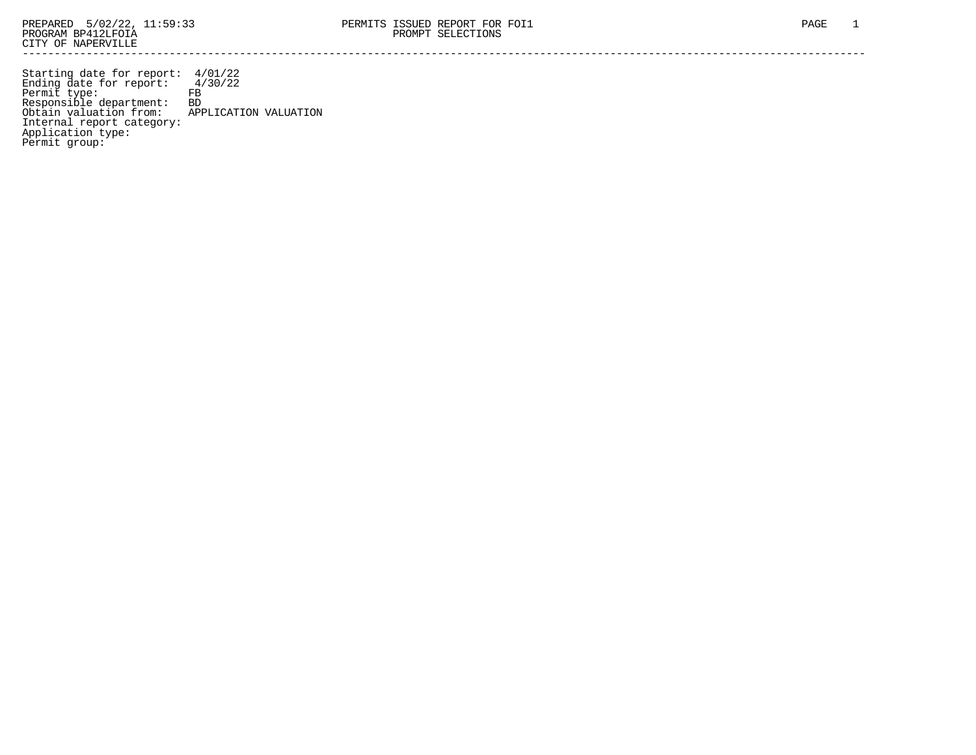Starting date for report: 4/01/22 Ending date for report: 4/30/22 Permit type: FB Responsible department: BD Obtain valuation from: APPLICATION VALUATION Internal report category: Application type: Permit group: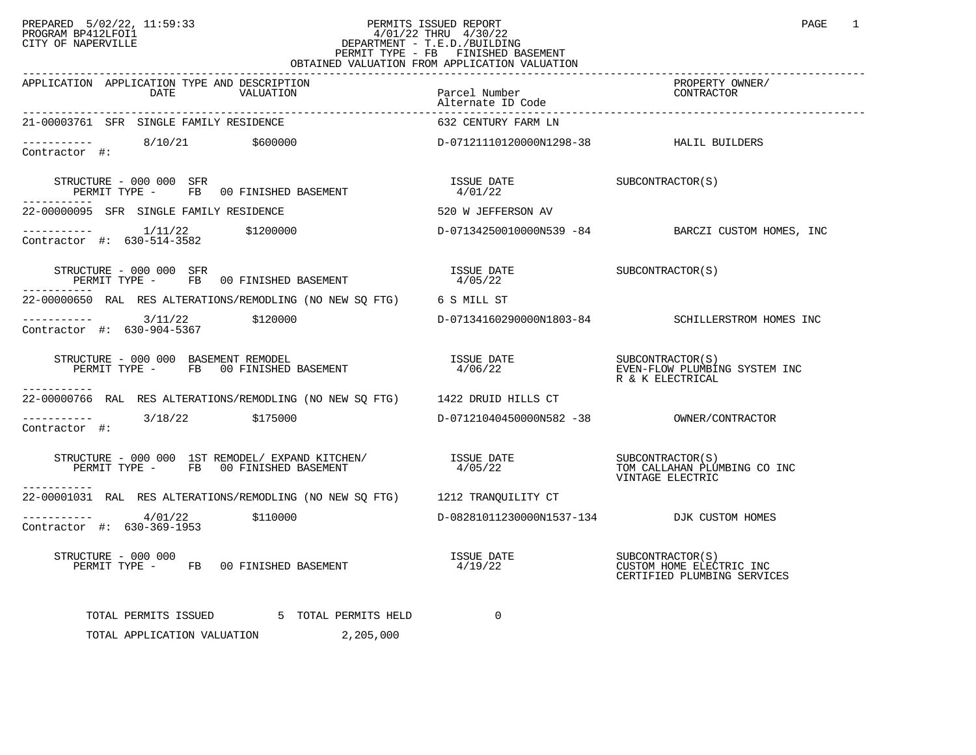## PREPARED 5/02/22, 11:59:33 PERMITS ISSUED REPORT PAGE 1<br>PROGRAM BP412LFOI1 PROGRAM BP412LFOI1 4/01/22 THRU 4/30/22 CITY OF NAPERVILLE **Example 20** CITY OF NAPERVILLE CITY OF NAPERVILLE CITY OF NAPERVILLE STATE STATE SERVICE PERMIT TYPE - FB FINISHED BASEMENT OBTAINED VALUATION FROM APPLICATION VALUATION

| CULAINED VALUAIION FROM                                                                                                                                                                                                                    |                                                                                                                                                                                                                                                                                                                                                                                     |                                                         |
|--------------------------------------------------------------------------------------------------------------------------------------------------------------------------------------------------------------------------------------------|-------------------------------------------------------------------------------------------------------------------------------------------------------------------------------------------------------------------------------------------------------------------------------------------------------------------------------------------------------------------------------------|---------------------------------------------------------|
| APPLICATION APPLICATION TYPE AND DESCRIPTION<br>DATE VALUATION                                                                                                                                                                             | Parcel Number<br>Alternate ID Code                                                                                                                                                                                                                                                                                                                                                  | PROPERTY OWNER/<br>CONTRACTOR                           |
| 21-00003761 SFR SINGLE FAMILY RESIDENCE                                                                                                                                                                                                    | 632 CENTURY FARM LN                                                                                                                                                                                                                                                                                                                                                                 |                                                         |
|                                                                                                                                                                                                                                            |                                                                                                                                                                                                                                                                                                                                                                                     |                                                         |
| STRUCTURE - 000 000 SFR<br>PERMIT TYPE - FB 00 FINISHED BASEMENT                                                                                                                                                                           | $\begin{array}{lll} \texttt{ISSUE} & \texttt{DATE} & \texttt{SUBCONTRACTOR(S)} \\ \texttt{4/01/22} & \texttt{01/22} & \texttt{01/23} & \texttt{01/24} \\ \texttt{02/23} & \texttt{02/24} & \texttt{03/24} & \texttt{04/24} \\ \texttt{04/24} & \texttt{05/24} & \texttt{06/24} & \texttt{07/24} & \texttt{08/24} \\ \texttt{08/24} & \texttt{09/24} & \texttt{09/24} & \texttt{09/$ |                                                         |
| 22-00000095 SFR SINGLE FAMILY RESIDENCE                                                                                                                                                                                                    | 520 W JEFFERSON AV                                                                                                                                                                                                                                                                                                                                                                  |                                                         |
| $---------$ 1/11/22 \$1200000 $------$ BARCZI CUSTOM HOMES, INC<br>Contractor #: 630-514-3582                                                                                                                                              |                                                                                                                                                                                                                                                                                                                                                                                     |                                                         |
| STRUCTURE – 000 000 SFR<br>PERMIT TYPE - FB 00 FINISHED BASEMENT                                                                                                                                                                           | $\begin{array}{ll}\n \text{ISSUE} & \text{DATE} \\ \text{A OF A2} & \text{A.} \\ \end{array}$<br>4/05/22                                                                                                                                                                                                                                                                            |                                                         |
| 22-00000650 RAL RES ALTERATIONS/REMODLING (NO NEW SQ FTG) 6 S MILL ST                                                                                                                                                                      |                                                                                                                                                                                                                                                                                                                                                                                     |                                                         |
| $\begin{tabular}{ll} \texttt{-----} \texttt{-----} & 3/11/22 & \texttt{\$120000} \\ \texttt{Contractor} & \texttt{#:} & 630-904-5367 \\ \end{tabular}$                                                                                     |                                                                                                                                                                                                                                                                                                                                                                                     | D-07134160290000N1803-84 SCHILLERSTROM HOMES INC        |
| ----------                                                                                                                                                                                                                                 |                                                                                                                                                                                                                                                                                                                                                                                     |                                                         |
| 22-00000766 RAL RES ALTERATIONS/REMODLING (NO NEW SQ FTG) 1422 DRUID HILLS CT                                                                                                                                                              |                                                                                                                                                                                                                                                                                                                                                                                     |                                                         |
| $\frac{1}{2}$ ----------- 3/18/22 \$175000<br>Contractor #:                                                                                                                                                                                |                                                                                                                                                                                                                                                                                                                                                                                     |                                                         |
|                                                                                                                                                                                                                                            |                                                                                                                                                                                                                                                                                                                                                                                     | VINTAGE ELECTRIC                                        |
| 22-00001031 RAL RES ALTERATIONS/REMODLING (NO NEW SQ FTG) 1212 TRANQUILITY CT                                                                                                                                                              |                                                                                                                                                                                                                                                                                                                                                                                     |                                                         |
| $---------$ 4/01/22 \$110000<br>Contractor #: 630-369-1953                                                                                                                                                                                 | D-08281011230000N1537-134 DJK CUSTOM HOMES                                                                                                                                                                                                                                                                                                                                          |                                                         |
| RUCTURE – 000 000<br>PERMIT TYPE – FB 00 FINISHED BASEMENT – 1999 – 1999 – 1997 – SUBCONTRACTOR(S)<br>PERMIT TYPE – FB 00 FINISHED BASEMENT – 1999 – 1998 – 1998 – 1999 – 1998 – 2008 – 2008 – 2008 – 2008 – 2008 –<br>STRUCTURE - 000 000 |                                                                                                                                                                                                                                                                                                                                                                                     | CUSTOM HOME ELECTRIC INC<br>CERTIFIED PLUMBING SERVICES |
| TOTAL PERMITS ISSUED 5 TOTAL PERMITS HELD                                                                                                                                                                                                  | $\mathbf{0}$                                                                                                                                                                                                                                                                                                                                                                        |                                                         |
| TOTAL APPLICATION VALUATION<br>2,205,000                                                                                                                                                                                                   |                                                                                                                                                                                                                                                                                                                                                                                     |                                                         |